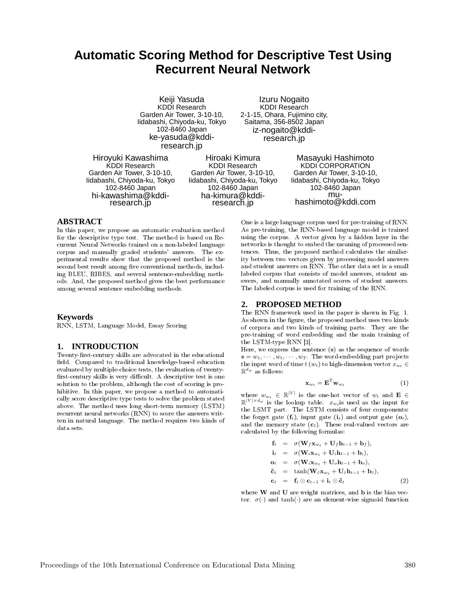# **Automatic Scoring Method for Descriptive Test Using Recurrent Neural Network**

Keiji Yasuda KDDI Research Garden Air Tower, 3-10-10, Iidabashi, Chiyoda-ku, Tokyo 102-8460 Japan ke-yasuda@kddiresearch.jp

Izuru Nogaito KDDI Research 2-1-15, Ohara, Fujimino city, Saitama, 356-8502 Japan iz-nogaito@kddiresearch.jp

Hiroyuki Kawashima KDDI Research Garden Air Tower, 3-10-10, Iidabashi, Chiyoda-ku, Tokyo 102-8460 Japan hi-kawashima@kddiresearch.jp

Hiroaki Kimura KDDI Research Garden Air Tower, 3-10-10, Iidabashi, Chiyoda-ku, Tokyo 102-8460 Japan ha-kimura@kddiresearch.jp

Masayuki Hashimoto KDDI CORPORATION Garden Air Tower, 3-10-10, Iidabashi, Chiyoda-ku, Tokyo 102-8460 Japan muhashimoto@kddi.com

## **ABSTRACT**

In this paper, we propose an automatic evaluation method for the descriptive type test. The method is based on Recurrent Neural Networks trained on a non-labeled language corpus and manually graded students' answers. The experimental results show that the proposed method is the second best result among five conventional methods, including BLEU, RIBES, and several sentence-embedding methods. And, the proposed method gives the best performance among several sentence embedding methods.

## **Keywords**

RNN, LSTM, Language Model, Essay Scoring

# **1. INTRODUCTION**

Twenty-first-century skills are advocated in the educational field. Compared to traditional knowledge-based education evaluated by multiple-choice tests, the evaluation of twenty first-century skills is very difficult. A descriptive test is one solution to the problem, although the cost of scoring is prohibitive. In this paper, we propose a method to automatically score descriptive type tests to solve the problem stated above. The method uses long short-term memory (LSTM) recurrent neural networks (RNN) to score the answers written in natural language. The method requires two kinds of data sets.

One is a large language corpus used for pre-training of RNN. As pre-training, the RNN-based language model is trained using the corpus. A vector given by a hidden layer in the networks is thought to embed the meaning of processed sentences. Thus, the proposed method calculates the similarity between two vectors given by processing model answers and student answers on RNN. The other data set is a small labeled corpus that consists of model answers, student answers, and manually annotated scores of student answers. The labeled corpus is used for training of the RNN.

## **2. PROPOSED METHOD**

The RNN framework used in the paper is shown in Fig. 1. As shown in the figure, the proposed method uses two kinds of corpora and two kinds of training parts. They are the pre-training of word embedding and the main training of the LSTM-type RNN [3].

Here, we express the sentence (s) as the sequence of words  $\mathbf{s} = w_1, \cdots, w_t, \cdots, w_T$ . The word-embedding part projects the input word of time  $t (w_t)$  to high-dimension vector  $x_{w_t} \in$  $\mathbb{R}^{d_w}$  as follows:

$$
\mathbf{x}_{w_t} = \mathbf{E}^{\mathrm{T}} \mathbf{w}_{w_t} \tag{1}
$$

where  $w_{w_t} \in \mathbb{R}^{|V|}$  is the one-hot vector of  $w_t$  and  $\mathbf{E} \in \mathbb{R}^{|V| \times d}$  $\mathbb{R}^{|V| \times d_w}$  is the lookup table.  $x_{w_t}$  is used as the input for the LSMT part. The LSTM consists of four components: the forget gate  $(f_t)$ , input gate  $(i_t)$  and output gate  $(o_t)$ , and the memory state  $(c_t)$ . These real-valued vectors are calculated by the following formulas:

$$
\mathbf{f}_t = \sigma(\mathbf{W}_f \mathbf{x}_{w_t} + \mathbf{U}_f \mathbf{h}_{t-1} + \mathbf{b}_f), \n\mathbf{i}_t = \sigma(\mathbf{W}_i \mathbf{x}_{w_t} + \mathbf{U}_i \mathbf{h}_{t-1} + \mathbf{b}_i), \n\mathbf{o}_t = \sigma(\mathbf{W}_i \mathbf{x}_{w_t} + \mathbf{U}_o \mathbf{h}_{t-1} + \mathbf{b}_o), \n\tilde{\mathbf{c}}_t = \tanh(\mathbf{W}_c \mathbf{x}_{w_t} + \mathbf{U}_c \mathbf{h}_{t-1} + \mathbf{b}_c), \n\mathbf{c}_t = \mathbf{f}_t \odot \mathbf{c}_{t-1} + \mathbf{i}_t \odot \tilde{\mathbf{c}}_t
$$
\n(2)

where **W** and **U** are weight matrices, and **b** is the bias vector.  $\sigma(\cdot)$  and  $\tanh(\cdot)$  are an element-wise sigmoid function